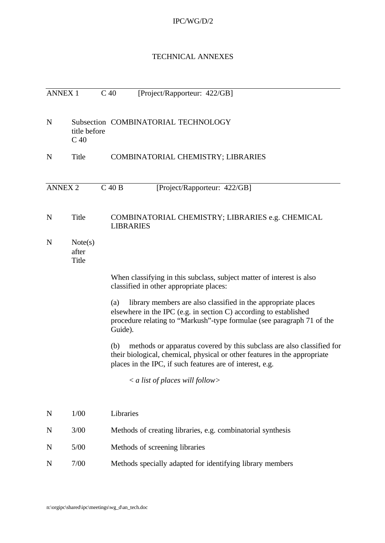## IPC/WG/D/2

### TECHNICAL ANNEXES

| <b>ANNEX 1</b> |                                 | C <sub>40</sub><br>[Project/Rapporteur: 422/GB]                                                                                                                                                                                |  |
|----------------|---------------------------------|--------------------------------------------------------------------------------------------------------------------------------------------------------------------------------------------------------------------------------|--|
| $\mathbf N$    | title before<br>C <sub>40</sub> | Subsection COMBINATORIAL TECHNOLOGY                                                                                                                                                                                            |  |
| $\mathbf N$    | Title                           | COMBINATORIAL CHEMISTRY; LIBRARIES                                                                                                                                                                                             |  |
| <b>ANNEX 2</b> |                                 | $C$ 40 B<br>[Project/Rapporteur: 422/GB]                                                                                                                                                                                       |  |
| N              | Title                           | COMBINATORIAL CHEMISTRY; LIBRARIES e.g. CHEMICAL<br><b>LIBRARIES</b>                                                                                                                                                           |  |
| N              | Note(s)<br>after<br>Title       |                                                                                                                                                                                                                                |  |
|                |                                 | When classifying in this subclass, subject matter of interest is also<br>classified in other appropriate places:                                                                                                               |  |
|                |                                 | library members are also classified in the appropriate places<br>(a)<br>elsewhere in the IPC (e.g. in section C) according to established<br>procedure relating to "Markush"-type formulae (see paragraph 71 of the<br>Guide). |  |
|                |                                 | methods or apparatus covered by this subclass are also classified for<br>(b)<br>their biological, chemical, physical or other features in the appropriate<br>places in the IPC, if such features are of interest, e.g.         |  |
|                |                                 | $\langle a \rangle$ a list of places will follow                                                                                                                                                                               |  |
| $\mathbf N$    | 1/00                            | Libraries                                                                                                                                                                                                                      |  |
| N              | 3/00                            | Methods of creating libraries, e.g. combinatorial synthesis                                                                                                                                                                    |  |
| N              | $5/00$                          | Methods of screening libraries                                                                                                                                                                                                 |  |
| N              | $7/00$                          | Methods specially adapted for identifying library members                                                                                                                                                                      |  |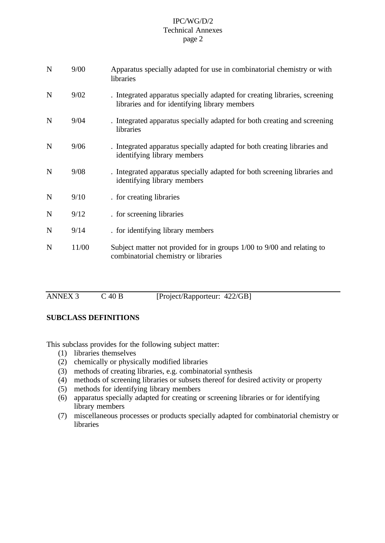### IPC/WG/D/2 Technical Annexes page 2

| $\mathbf N$ | 9/00  | Apparatus specially adapted for use in combinatorial chemistry or with<br>libraries                                         |
|-------------|-------|-----------------------------------------------------------------------------------------------------------------------------|
| $\mathbf N$ | 9/02  | . Integrated apparatus specially adapted for creating libraries, screening<br>libraries and for identifying library members |
| $\mathbf N$ | 9/04  | . Integrated apparatus specially adapted for both creating and screening<br>libraries                                       |
| $\mathbf N$ | 9/06  | . Integrated apparatus specially adapted for both creating libraries and<br>identifying library members                     |
| N           | 9/08  | . Integrated apparatus specially adapted for both screening libraries and<br>identifying library members                    |
| $\mathbf N$ | 9/10  | . for creating libraries                                                                                                    |
| N           | 9/12  | . for screening libraries                                                                                                   |
| $\mathbf N$ | 9/14  | . for identifying library members                                                                                           |
| N           | 11/00 | Subject matter not provided for in groups 1/00 to 9/00 and relating to<br>combinatorial chemistry or libraries              |

| ANNEX 3 | $C$ 40 B | [Project/Rapporteur: 422/GB] |  |
|---------|----------|------------------------------|--|

# **SUBCLASS DEFINITIONS**

This subclass provides for the following subject matter:

- (1) libraries themselves
- (2) chemically or physically modified libraries
- (3) methods of creating libraries, e.g. combinatorial synthesis
- (4) methods of screening libraries or subsets thereof for desired activity or property
- (5) methods for identifying library members
- (6) apparatus specially adapted for creating or screening libraries or for identifying library members
- (7) miscellaneous processes or products specially adapted for combinatorial chemistry or libraries